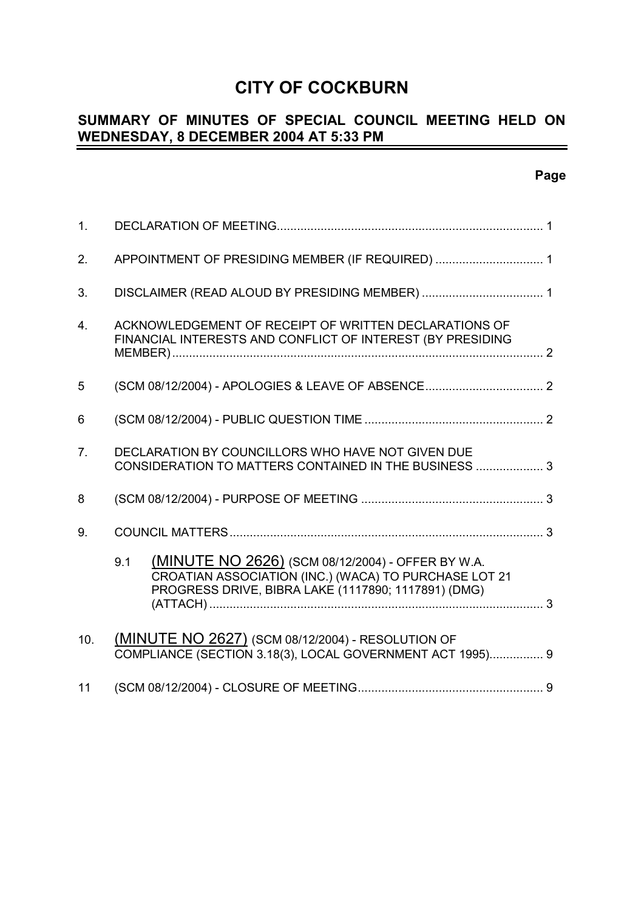# **CITY OF COCKBURN**

## **SUMMARY OF MINUTES OF SPECIAL COUNCIL MEETING HELD ON WEDNESDAY, 8 DECEMBER 2004 AT 5:33 PM**

## **Page**

| 1.             |                                                                                                                                                                          |  |
|----------------|--------------------------------------------------------------------------------------------------------------------------------------------------------------------------|--|
| 2.             | APPOINTMENT OF PRESIDING MEMBER (IF REQUIRED)  1                                                                                                                         |  |
| 3.             |                                                                                                                                                                          |  |
| 4.             | ACKNOWLEDGEMENT OF RECEIPT OF WRITTEN DECLARATIONS OF<br>FINANCIAL INTERESTS AND CONFLICT OF INTEREST (BY PRESIDING                                                      |  |
| 5              |                                                                                                                                                                          |  |
| 6              |                                                                                                                                                                          |  |
| 7 <sub>1</sub> | DECLARATION BY COUNCILLORS WHO HAVE NOT GIVEN DUE<br>CONSIDERATION TO MATTERS CONTAINED IN THE BUSINESS  3                                                               |  |
| 8              |                                                                                                                                                                          |  |
| 9 <sub>1</sub> |                                                                                                                                                                          |  |
|                | (MINUTE NO 2626) (SCM 08/12/2004) - OFFER BY W.A.<br>9.1<br>CROATIAN ASSOCIATION (INC.) (WACA) TO PURCHASE LOT 21<br>PROGRESS DRIVE, BIBRA LAKE (1117890; 1117891) (DMG) |  |
| 10.            | (MINUTE NO 2627) (SCM 08/12/2004) - RESOLUTION OF<br>COMPLIANCE (SECTION 3.18(3), LOCAL GOVERNMENT ACT 1995) 9                                                           |  |
| 11             |                                                                                                                                                                          |  |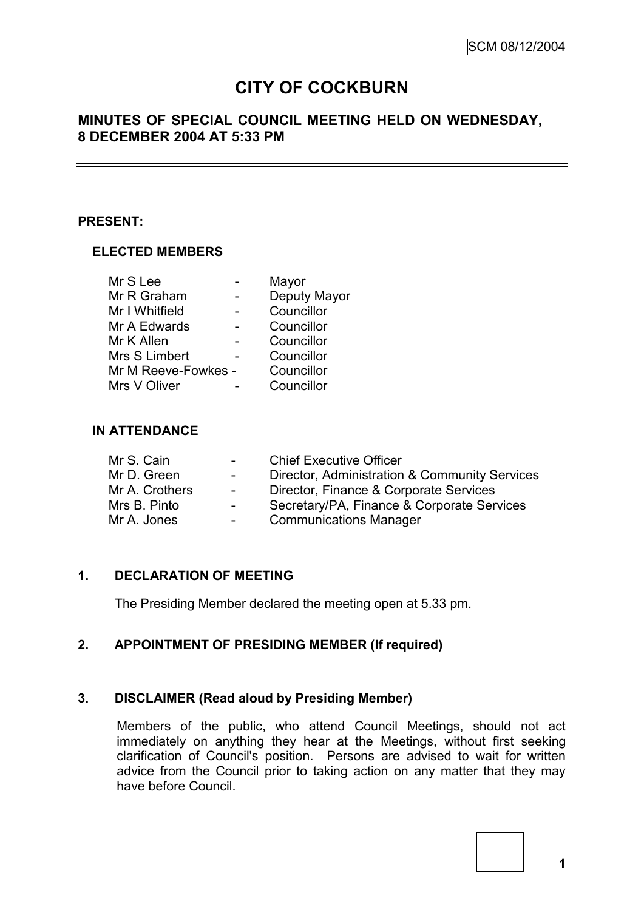# **CITY OF COCKBURN**

## **MINUTES OF SPECIAL COUNCIL MEETING HELD ON WEDNESDAY, 8 DECEMBER 2004 AT 5:33 PM**

#### **PRESENT:**

#### **ELECTED MEMBERS**

|                     | Mayor        |
|---------------------|--------------|
|                     | Deputy Mayor |
|                     | Councillor   |
|                     | Councillor   |
|                     | Councillor   |
|                     | Councillor   |
| Mr M Reeve-Fowkes - | Councillor   |
|                     | Councillor   |
|                     |              |

#### **IN ATTENDANCE**

| $\sim$ 100 $\mu$ | <b>Chief Executive Officer</b>                |
|------------------|-----------------------------------------------|
| $\sim 100$       | Director, Administration & Community Services |
| $\sim 100$       | Director, Finance & Corporate Services        |
| $\sim 100$       | Secretary/PA, Finance & Corporate Services    |
| $\sim 100$       | <b>Communications Manager</b>                 |
|                  |                                               |

## **1. DECLARATION OF MEETING**

The Presiding Member declared the meeting open at 5.33 pm.

## **2. APPOINTMENT OF PRESIDING MEMBER (If required)**

#### **3. DISCLAIMER (Read aloud by Presiding Member)**

Members of the public, who attend Council Meetings, should not act immediately on anything they hear at the Meetings, without first seeking clarification of Council's position. Persons are advised to wait for written advice from the Council prior to taking action on any matter that they may have before Council.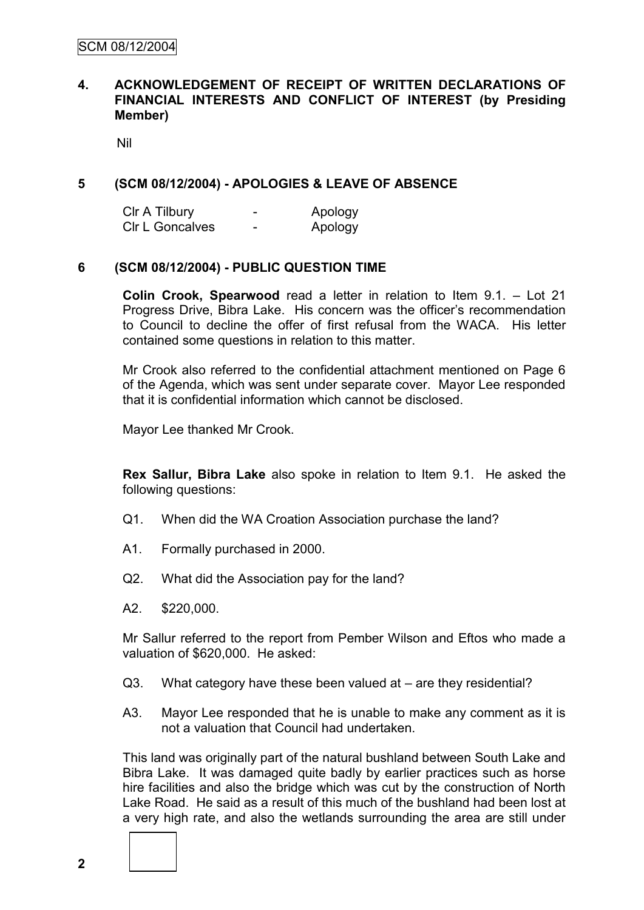#### **4. ACKNOWLEDGEMENT OF RECEIPT OF WRITTEN DECLARATIONS OF FINANCIAL INTERESTS AND CONFLICT OF INTEREST (by Presiding Member)**

Nil

#### **5 (SCM 08/12/2004) - APOLOGIES & LEAVE OF ABSENCE**

| CIr A Tilbury          | - | Apology |
|------------------------|---|---------|
| <b>CIr L Goncalves</b> | - | Apology |

#### **6 (SCM 08/12/2004) - PUBLIC QUESTION TIME**

**Colin Crook, Spearwood** read a letter in relation to Item 9.1. – Lot 21 Progress Drive, Bibra Lake. His concern was the officer's recommendation to Council to decline the offer of first refusal from the WACA. His letter contained some questions in relation to this matter.

Mr Crook also referred to the confidential attachment mentioned on Page 6 of the Agenda, which was sent under separate cover. Mayor Lee responded that it is confidential information which cannot be disclosed.

Mayor Lee thanked Mr Crook.

**Rex Sallur, Bibra Lake** also spoke in relation to Item 9.1. He asked the following questions:

- Q1. When did the WA Croation Association purchase the land?
- A1. Formally purchased in 2000.
- Q2. What did the Association pay for the land?
- A2. \$220,000.

Mr Sallur referred to the report from Pember Wilson and Eftos who made a valuation of \$620,000. He asked:

- Q3. What category have these been valued at are they residential?
- A3. Mayor Lee responded that he is unable to make any comment as it is not a valuation that Council had undertaken.

This land was originally part of the natural bushland between South Lake and Bibra Lake. It was damaged quite badly by earlier practices such as horse hire facilities and also the bridge which was cut by the construction of North Lake Road. He said as a result of this much of the bushland had been lost at a very high rate, and also the wetlands surrounding the area are still under

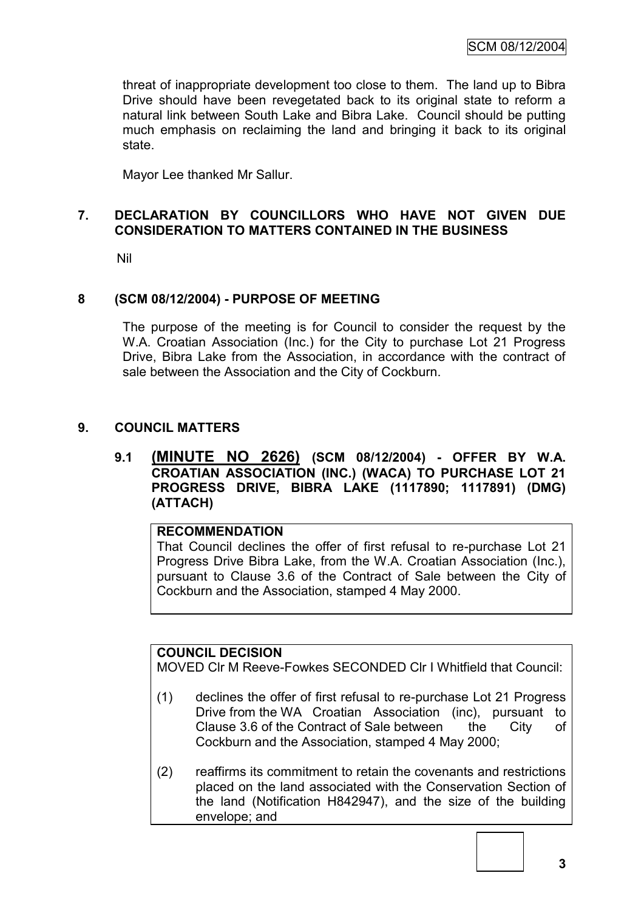threat of inappropriate development too close to them. The land up to Bibra Drive should have been revegetated back to its original state to reform a natural link between South Lake and Bibra Lake. Council should be putting much emphasis on reclaiming the land and bringing it back to its original state.

Mayor Lee thanked Mr Sallur.

## **7. DECLARATION BY COUNCILLORS WHO HAVE NOT GIVEN DUE CONSIDERATION TO MATTERS CONTAINED IN THE BUSINESS**

Nil

## **8 (SCM 08/12/2004) - PURPOSE OF MEETING**

The purpose of the meeting is for Council to consider the request by the W.A. Croatian Association (Inc.) for the City to purchase Lot 21 Progress Drive, Bibra Lake from the Association, in accordance with the contract of sale between the Association and the City of Cockburn.

#### **9. COUNCIL MATTERS**

#### **9.1 (MINUTE NO 2626) (SCM 08/12/2004) - OFFER BY W.A. CROATIAN ASSOCIATION (INC.) (WACA) TO PURCHASE LOT 21 PROGRESS DRIVE, BIBRA LAKE (1117890; 1117891) (DMG) (ATTACH)**

## **RECOMMENDATION**

That Council declines the offer of first refusal to re-purchase Lot 21 Progress Drive Bibra Lake, from the W.A. Croatian Association (Inc.), pursuant to Clause 3.6 of the Contract of Sale between the City of Cockburn and the Association, stamped 4 May 2000.

#### **COUNCIL DECISION**

MOVED Clr M Reeve-Fowkes SECONDED Clr I Whitfield that Council:

- (1) declines the offer of first refusal to re-purchase Lot 21 Progress Drive from the WA Croatian Association (inc), pursuant to Clause 3.6 of the Contract of Sale between the City of Cockburn and the Association, stamped 4 May 2000;
- (2) reaffirms its commitment to retain the covenants and restrictions placed on the land associated with the Conservation Section of the land (Notification H842947), and the size of the building envelope; and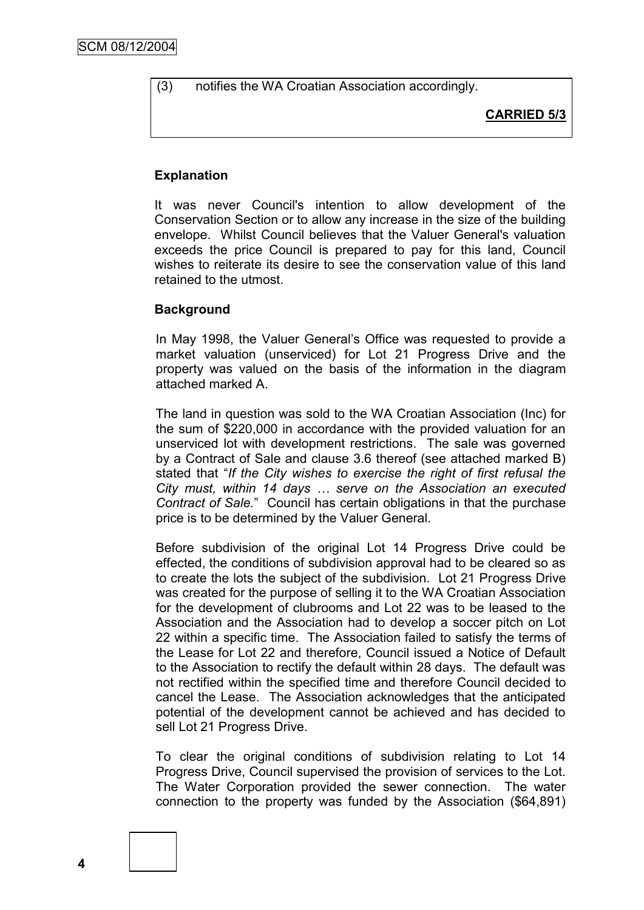(3) notifies the WA Croatian Association accordingly.

**CARRIED 5/3**

#### **Explanation**

It was never Council's intention to allow development of the Conservation Section or to allow any increase in the size of the building envelope. Whilst Council believes that the Valuer General's valuation exceeds the price Council is prepared to pay for this land, Council wishes to reiterate its desire to see the conservation value of this land retained to the utmost.

#### **Background**

In May 1998, the Valuer General's Office was requested to provide a market valuation (unserviced) for Lot 21 Progress Drive and the property was valued on the basis of the information in the diagram attached marked A.

The land in question was sold to the WA Croatian Association (Inc) for the sum of \$220,000 in accordance with the provided valuation for an unserviced lot with development restrictions. The sale was governed by a Contract of Sale and clause 3.6 thereof (see attached marked B) stated that "*If the City wishes to exercise the right of first refusal the City must, within 14 days … serve on the Association an executed Contract of Sale.*" Council has certain obligations in that the purchase price is to be determined by the Valuer General.

Before subdivision of the original Lot 14 Progress Drive could be effected, the conditions of subdivision approval had to be cleared so as to create the lots the subject of the subdivision. Lot 21 Progress Drive was created for the purpose of selling it to the WA Croatian Association for the development of clubrooms and Lot 22 was to be leased to the Association and the Association had to develop a soccer pitch on Lot 22 within a specific time. The Association failed to satisfy the terms of the Lease for Lot 22 and therefore, Council issued a Notice of Default to the Association to rectify the default within 28 days. The default was not rectified within the specified time and therefore Council decided to cancel the Lease. The Association acknowledges that the anticipated potential of the development cannot be achieved and has decided to sell Lot 21 Progress Drive.

To clear the original conditions of subdivision relating to Lot 14 Progress Drive, Council supervised the provision of services to the Lot. The Water Corporation provided the sewer connection. The water connection to the property was funded by the Association (\$64,891)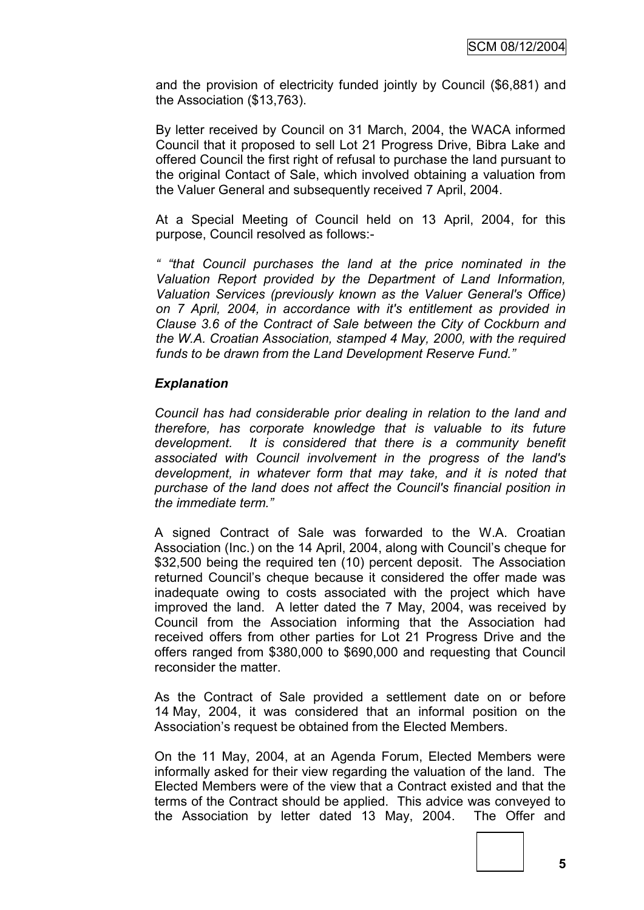and the provision of electricity funded jointly by Council (\$6,881) and the Association (\$13,763).

By letter received by Council on 31 March, 2004, the WACA informed Council that it proposed to sell Lot 21 Progress Drive, Bibra Lake and offered Council the first right of refusal to purchase the land pursuant to the original Contact of Sale, which involved obtaining a valuation from the Valuer General and subsequently received 7 April, 2004.

At a Special Meeting of Council held on 13 April, 2004, for this purpose, Council resolved as follows:-

*" "that Council purchases the land at the price nominated in the Valuation Report provided by the Department of Land Information, Valuation Services (previously known as the Valuer General's Office) on 7 April, 2004, in accordance with it's entitlement as provided in Clause 3.6 of the Contract of Sale between the City of Cockburn and the W.A. Croatian Association, stamped 4 May, 2000, with the required funds to be drawn from the Land Development Reserve Fund."*

#### *Explanation*

*Council has had considerable prior dealing in relation to the land and therefore, has corporate knowledge that is valuable to its future development. It is considered that there is a community benefit associated with Council involvement in the progress of the land's development, in whatever form that may take, and it is noted that purchase of the land does not affect the Council's financial position in the immediate term."*

A signed Contract of Sale was forwarded to the W.A. Croatian Association (Inc.) on the 14 April, 2004, along with Council's cheque for \$32,500 being the required ten (10) percent deposit. The Association returned Council's cheque because it considered the offer made was inadequate owing to costs associated with the project which have improved the land. A letter dated the 7 May, 2004, was received by Council from the Association informing that the Association had received offers from other parties for Lot 21 Progress Drive and the offers ranged from \$380,000 to \$690,000 and requesting that Council reconsider the matter.

As the Contract of Sale provided a settlement date on or before 14 May, 2004, it was considered that an informal position on the Association's request be obtained from the Elected Members.

On the 11 May, 2004, at an Agenda Forum, Elected Members were informally asked for their view regarding the valuation of the land. The Elected Members were of the view that a Contract existed and that the terms of the Contract should be applied. This advice was conveyed to the Association by letter dated 13 May, 2004. The Offer and



**5**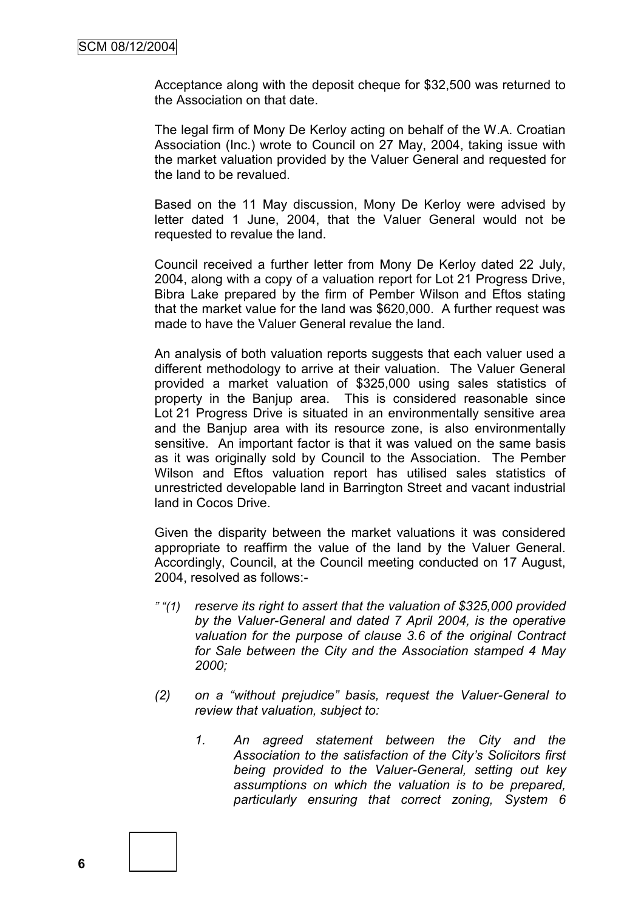Acceptance along with the deposit cheque for \$32,500 was returned to the Association on that date.

The legal firm of Mony De Kerloy acting on behalf of the W.A. Croatian Association (Inc.) wrote to Council on 27 May, 2004, taking issue with the market valuation provided by the Valuer General and requested for the land to be revalued.

Based on the 11 May discussion, Mony De Kerloy were advised by letter dated 1 June, 2004, that the Valuer General would not be requested to revalue the land.

Council received a further letter from Mony De Kerloy dated 22 July, 2004, along with a copy of a valuation report for Lot 21 Progress Drive, Bibra Lake prepared by the firm of Pember Wilson and Eftos stating that the market value for the land was \$620,000. A further request was made to have the Valuer General revalue the land.

An analysis of both valuation reports suggests that each valuer used a different methodology to arrive at their valuation. The Valuer General provided a market valuation of \$325,000 using sales statistics of property in the Banjup area. This is considered reasonable since Lot 21 Progress Drive is situated in an environmentally sensitive area and the Banjup area with its resource zone, is also environmentally sensitive. An important factor is that it was valued on the same basis as it was originally sold by Council to the Association. The Pember Wilson and Eftos valuation report has utilised sales statistics of unrestricted developable land in Barrington Street and vacant industrial land in Cocos Drive.

Given the disparity between the market valuations it was considered appropriate to reaffirm the value of the land by the Valuer General. Accordingly, Council, at the Council meeting conducted on 17 August, 2004, resolved as follows:-

- *" "(1) reserve its right to assert that the valuation of \$325,000 provided by the Valuer-General and dated 7 April 2004, is the operative valuation for the purpose of clause 3.6 of the original Contract for Sale between the City and the Association stamped 4 May 2000;*
- *(2) on a "without prejudice" basis, request the Valuer-General to review that valuation, subject to:*
	- *1. An agreed statement between the City and the Association to the satisfaction of the City's Solicitors first being provided to the Valuer-General, setting out key assumptions on which the valuation is to be prepared, particularly ensuring that correct zoning, System 6*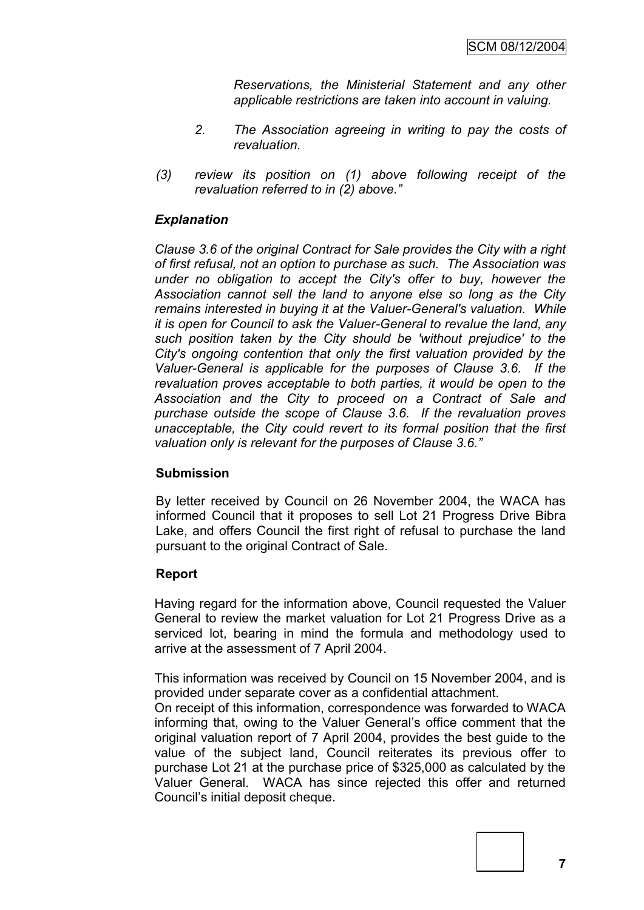*Reservations, the Ministerial Statement and any other applicable restrictions are taken into account in valuing.*

- *2. The Association agreeing in writing to pay the costs of revaluation.*
- *(3) review its position on (1) above following receipt of the revaluation referred to in (2) above."*

## *Explanation*

*Clause 3.6 of the original Contract for Sale provides the City with a right of first refusal, not an option to purchase as such. The Association was under no obligation to accept the City's offer to buy, however the Association cannot sell the land to anyone else so long as the City remains interested in buying it at the Valuer-General's valuation. While it is open for Council to ask the Valuer-General to revalue the land, any such position taken by the City should be 'without prejudice' to the City's ongoing contention that only the first valuation provided by the Valuer-General is applicable for the purposes of Clause 3.6. If the revaluation proves acceptable to both parties, it would be open to the Association and the City to proceed on a Contract of Sale and purchase outside the scope of Clause 3.6. If the revaluation proves unacceptable, the City could revert to its formal position that the first valuation only is relevant for the purposes of Clause 3.6."*

#### **Submission**

By letter received by Council on 26 November 2004, the WACA has informed Council that it proposes to sell Lot 21 Progress Drive Bibra Lake, and offers Council the first right of refusal to purchase the land pursuant to the original Contract of Sale.

#### **Report**

Having regard for the information above, Council requested the Valuer General to review the market valuation for Lot 21 Progress Drive as a serviced lot, bearing in mind the formula and methodology used to arrive at the assessment of 7 April 2004.

This information was received by Council on 15 November 2004, and is provided under separate cover as a confidential attachment.

On receipt of this information, correspondence was forwarded to WACA informing that, owing to the Valuer General's office comment that the original valuation report of 7 April 2004, provides the best guide to the value of the subject land, Council reiterates its previous offer to purchase Lot 21 at the purchase price of \$325,000 as calculated by the Valuer General. WACA has since rejected this offer and returned Council's initial deposit cheque.



**7**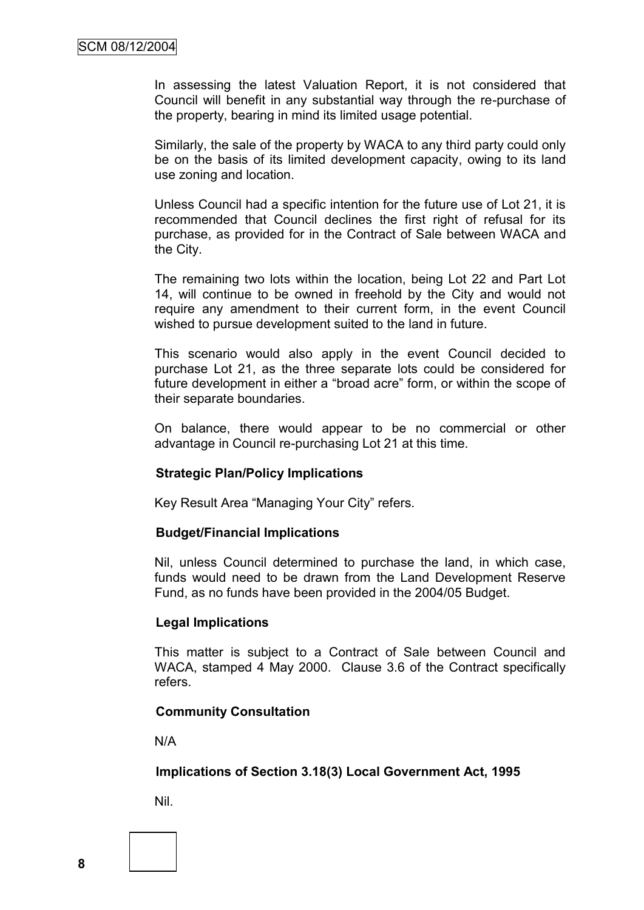In assessing the latest Valuation Report, it is not considered that Council will benefit in any substantial way through the re-purchase of the property, bearing in mind its limited usage potential.

Similarly, the sale of the property by WACA to any third party could only be on the basis of its limited development capacity, owing to its land use zoning and location.

Unless Council had a specific intention for the future use of Lot 21, it is recommended that Council declines the first right of refusal for its purchase, as provided for in the Contract of Sale between WACA and the City.

The remaining two lots within the location, being Lot 22 and Part Lot 14, will continue to be owned in freehold by the City and would not require any amendment to their current form, in the event Council wished to pursue development suited to the land in future.

This scenario would also apply in the event Council decided to purchase Lot 21, as the three separate lots could be considered for future development in either a "broad acre" form, or within the scope of their separate boundaries.

On balance, there would appear to be no commercial or other advantage in Council re-purchasing Lot 21 at this time.

#### **Strategic Plan/Policy Implications**

Key Result Area "Managing Your City" refers.

#### **Budget/Financial Implications**

Nil, unless Council determined to purchase the land, in which case, funds would need to be drawn from the Land Development Reserve Fund, as no funds have been provided in the 2004/05 Budget.

#### **Legal Implications**

This matter is subject to a Contract of Sale between Council and WACA, stamped 4 May 2000. Clause 3.6 of the Contract specifically refers.

#### **Community Consultation**

N/A

#### **Implications of Section 3.18(3) Local Government Act, 1995**

Nil.